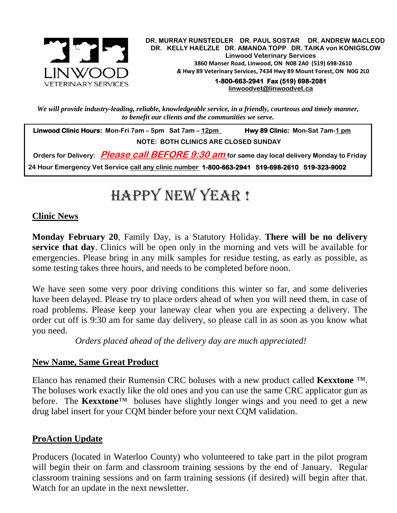

.  **DR. MURRAY RUNSTEDLER DR. PAUL SOSTAR DR. ANDREW MACLEOD DR. KELLY HAELZLE DR. AMANDA TOPP DR. TAIKA von KONIGSLOW Linwood Veterinary Services 3860 Manser Road, Linwood, ON N0B 2A0 (519) 698-2610** *&* **Hwy 89 Veterinary Services, 7434 Hwy 89 Mount Forest, ON N0G 2L0**

**1-800-663-2941 Fax (519) 698-2081 [linwoodvet@linwoodvet.ca](mailto:linwoodvet@linwoodvet.ca)**

*We will provide industry-leading, reliable, knowledgeable service, in a friendly, courteous and timely manner, to benefit our clients and the communities we serve.*

 **Linwood Clinic Hours: Mon-Fri 7am – 5pm Sat 7am – 12pm Hwy 89 Clinic: Mon-Sat 7am-1 pm NOTE: BOTH CLINICS ARE CLOSED SUNDAY**

 **Orders for Delivery: Please call BEFORE 9:30 am for same day local delivery Monday to Friday 24 Hour Emergency Vet Service call any clinic number 1-800-663-2941 519-698-2610 519-323-9002**

# Happy New Year !

### **Clinic News**

**Monday February 20**, Family Day, is a Statutory Holiday. **There will be no delivery service that day**. Clinics will be open only in the morning and vets will be available for emergencies. Please bring in any milk samples for residue testing, as early as possible, as some testing takes three hours, and needs to be completed before noon.

We have seen some very poor driving conditions this winter so far, and some deliveries have been delayed. Please try to place orders ahead of when you will need them, in case of road problems. Please keep your laneway clear when you are expecting a delivery. The order cut off is 9:30 am for same day delivery, so please call in as soon as you know what you need.

 *Orders placed ahead of the delivery day are much appreciated!*

#### **New Name, Same Great Product**

Elanco has renamed their Rumensin CRC boluses with a new product called **Kexxtone** ™. The boluses work exactly like the old ones and you can use the same CRC applicator gun as before. The **Kexxtone**<sup>™</sup> boluses have slightly longer wings and you need to get a new drug label insert for your CQM binder before your next CQM validation.

## **ProAction Update**

Producers (located in Waterloo County) who volunteered to take part in the pilot program will begin their on farm and classroom training sessions by the end of January. Regular classroom training sessions and on farm training sessions (if desired) will begin after that. Watch for an update in the next newsletter.